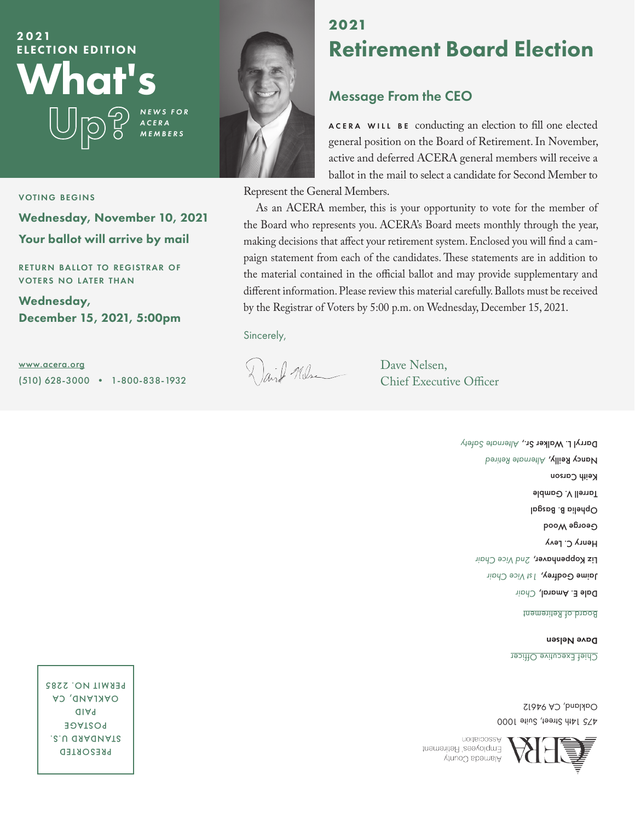

#### voting begins

Wednesday, November 10, 2021 Your ballot will arrive by mail

RETURN BALLOT TO REGISTRAR OF voters no l ater than

Wednesday, December 15, 2021, 5:00pm

www.acera.org (510) 628-3000 • 1-800-838-1932



### **2021** Retirement Board Election

#### Message From the CEO

ACERA WILL BE conducting an election to fill one elected general position on the Board of Retirement. In November, active and deferred ACERA general members will receive a ballot in the mail to select a candidate for Second Member to

Represent the General Members.

As an ACERA member, this is your opportunity to vote for the member of the Board who represents you. ACERA's Board meets monthly through the year, making decisions that affect your retirement system. Enclosed you will find a campaign statement from each of the candidates. These statements are in addition to the material contained in the official ballot and may provide supplementary and different information. Please review this material carefully. Ballots must be received by the Registrar of Voters by 5:00 p.m. on Wednesday, December 15, 2021.

Sincerely,

Dail Mlse

 Dave Nelsen, Chief Executive Officer

> <u>Board of Refirement</u> **Dale E. Amaral, Chair Jaime Godtrey,** 1st Vice Chair **Liz Koppenhaver,** 2nd Vice Chair Henry C. Levy George Wood Dphelia B. Basgal Tarrell V. Gamble Keith Carson  *Retired Alternate* Reilly, Nancy **Darryl L. Walker Sr., Alternate Safety**

Dave Nelsen

Chief Executive Officer

175 Idh Sheat, Suite 1000 Oakland, CA 94612

Association Employees' Retirement AlamoU sbomsIA

PRESORTED S.U QAAQNATS POSTAGE PAID CA OAKLAND, **PERMIT NO. 2285**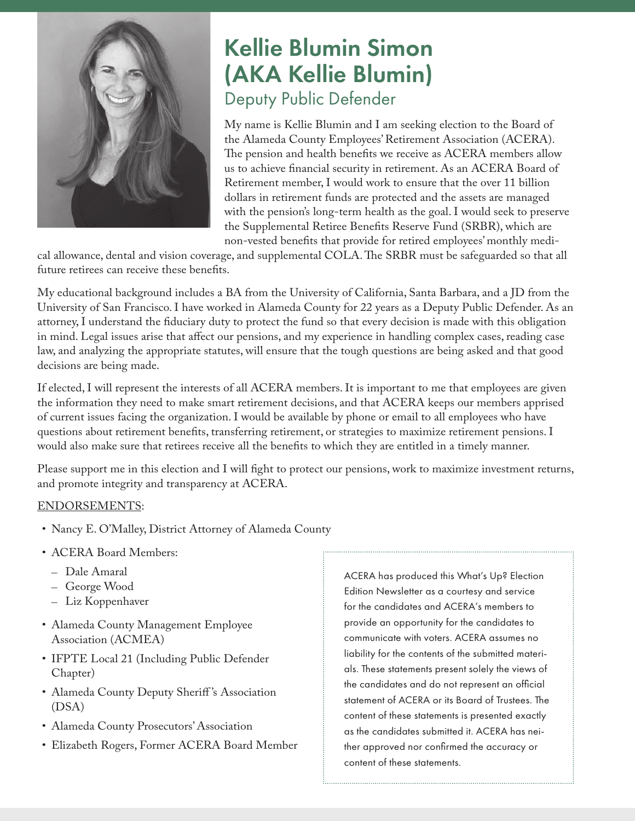

## Kellie Blumin Simon (AKA Kellie Blumin) Deputy Public Defender

My name is Kellie Blumin and I am seeking election to the Board of the Alameda County Employees' Retirement Association (ACERA). The pension and health benefits we receive as ACERA members allow us to achieve financial security in retirement. As an ACERA Board of Retirement member, I would work to ensure that the over 11 billion dollars in retirement funds are protected and the assets are managed with the pension's long-term health as the goal. I would seek to preserve the Supplemental Retiree Benefits Reserve Fund (SRBR), which are non-vested benefits that provide for retired employees' monthly medi-

cal allowance, dental and vision coverage, and supplemental COLA. The SRBR must be safeguarded so that all future retirees can receive these benefits.

My educational background includes a BA from the University of California, Santa Barbara, and a JD from the University of San Francisco. I have worked in Alameda County for 22 years as a Deputy Public Defender. As an attorney, I understand the fiduciary duty to protect the fund so that every decision is made with this obligation in mind. Legal issues arise that affect our pensions, and my experience in handling complex cases, reading case law, and analyzing the appropriate statutes, will ensure that the tough questions are being asked and that good decisions are being made.

If elected, I will represent the interests of all ACERA members. It is important to me that employees are given the information they need to make smart retirement decisions, and that ACERA keeps our members apprised of current issues facing the organization. I would be available by phone or email to all employees who have questions about retirement benefits, transferring retirement, or strategies to maximize retirement pensions. I would also make sure that retirees receive all the benefits to which they are entitled in a timely manner.

Please support me in this election and I will fight to protect our pensions, work to maximize investment returns, and promote integrity and transparency at ACERA.

#### ENDORSEMENTS:

- Nancy E. O'Malley, District Attorney of Alameda County
- ACERA Board Members:
	- Dale Amaral
	- George Wood
	- Liz Koppenhaver
- Alameda County Management Employee Association (ACMEA)
- IFPTE Local 21 (Including Public Defender Chapter)
- Alameda County Deputy Sheriff 's Association (DSA)
- Alameda County Prosecutors' Association
- Elizabeth Rogers, Former ACERA Board Member

ACERA has produced this What's Up? Election Edition Newsletter as a courtesy and service for the candidates and ACERA's members to provide an opportunity for the candidates to communicate with voters. ACERA assumes no liability for the contents of the submitted materials. These statements present solely the views of the candidates and do not represent an official statement of ACERA or its Board of Trustees. The content of these statements is presented exactly as the candidates submitted it. ACERA has neither approved nor confirmed the accuracy or content of these statements.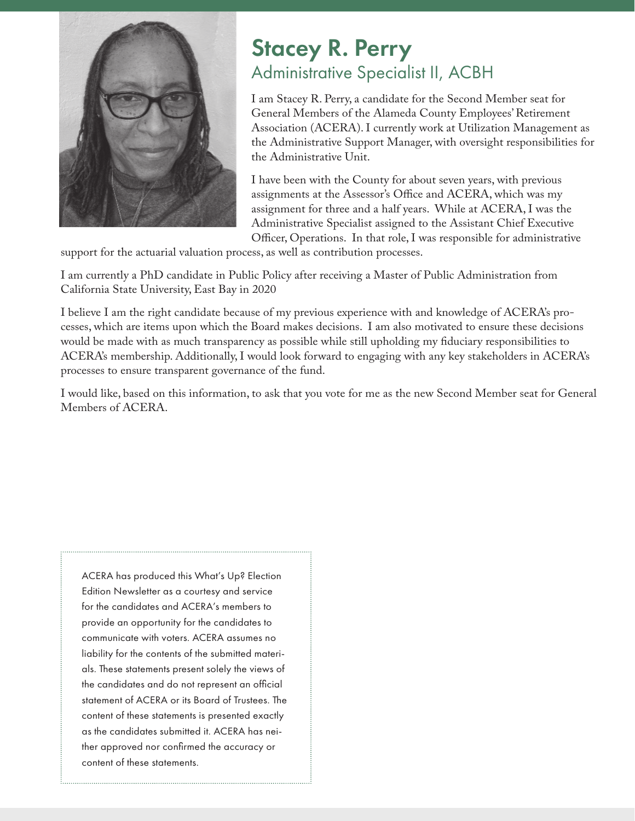

### Stacey R. Perry Administrative Specialist II, ACBH

I am Stacey R. Perry, a candidate for the Second Member seat for General Members of the Alameda County Employees' Retirement Association (ACERA). I currently work at Utilization Management as the Administrative Support Manager, with oversight responsibilities for the Administrative Unit.

I have been with the County for about seven years, with previous assignments at the Assessor's Office and ACERA, which was my assignment for three and a half years. While at ACERA, I was the Administrative Specialist assigned to the Assistant Chief Executive Officer, Operations. In that role, I was responsible for administrative

support for the actuarial valuation process, as well as contribution processes.

I am currently a PhD candidate in Public Policy after receiving a Master of Public Administration from California State University, East Bay in 2020

I believe I am the right candidate because of my previous experience with and knowledge of ACERA's processes, which are items upon which the Board makes decisions. I am also motivated to ensure these decisions would be made with as much transparency as possible while still upholding my fiduciary responsibilities to ACERA's membership. Additionally, I would look forward to engaging with any key stakeholders in ACERA's processes to ensure transparent governance of the fund.

I would like, based on this information, to ask that you vote for me as the new Second Member seat for General Members of ACERA.

ACERA has produced this What's Up? Election Edition Newsletter as a courtesy and service for the candidates and ACERA's members to provide an opportunity for the candidates to communicate with voters. ACERA assumes no liability for the contents of the submitted materials. These statements present solely the views of the candidates and do not represent an official statement of ACERA or its Board of Trustees. The content of these statements is presented exactly as the candidates submitted it. ACERA has neither approved nor confirmed the accuracy or content of these statements.